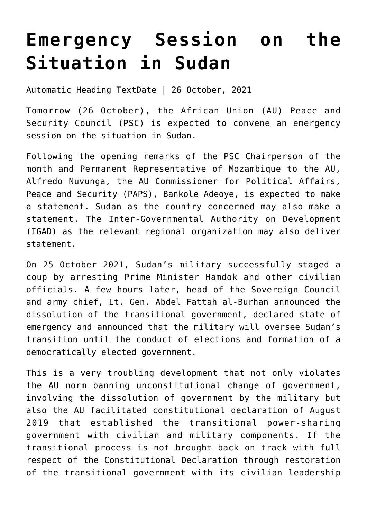## **[Emergency Session on the](https://amaniafrica-et.org/emergency-session-on-the-situation-in-sudan-2/) [Situation in Sudan](https://amaniafrica-et.org/emergency-session-on-the-situation-in-sudan-2/)**

Automatic Heading TextDate | 26 October, 2021

Tomorrow (26 October), the African Union (AU) Peace and Security Council (PSC) is expected to convene an emergency session on the situation in Sudan.

Following the opening remarks of the PSC Chairperson of the month and Permanent Representative of Mozambique to the AU, Alfredo Nuvunga, the AU Commissioner for Political Affairs, Peace and Security (PAPS), Bankole Adeoye, is expected to make a statement. Sudan as the country concerned may also make a statement. The Inter-Governmental Authority on Development (IGAD) as the relevant regional organization may also deliver statement.

On 25 October 2021, Sudan's military successfully staged a coup by arresting Prime Minister Hamdok and other civilian officials. A few hours later, head of the Sovereign Council and army chief, Lt. Gen. Abdel Fattah al-Burhan announced the dissolution of the transitional government, declared state of emergency and announced that the military will oversee Sudan's transition until the conduct of elections and formation of a democratically elected government.

This is a very troubling development that not only violates the AU norm banning unconstitutional change of government, involving the dissolution of government by the military but also the AU facilitated constitutional declaration of August 2019 that established the transitional power-sharing government with civilian and military components. If the transitional process is not brought back on track with full respect of the Constitutional Declaration through restoration of the transitional government with its civilian leadership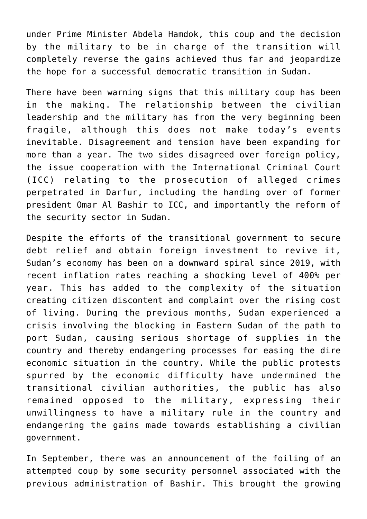under Prime Minister Abdela Hamdok, this coup and the decision by the military to be in charge of the transition will completely reverse the gains achieved thus far and jeopardize the hope for a successful democratic transition in Sudan.

There have been warning signs that this military coup has been in the making. The relationship between the civilian leadership and the military has from the very beginning been fragile, although this does not make today's events inevitable. Disagreement and tension have been expanding for more than a year. The two sides disagreed over foreign policy, the issue cooperation with the International Criminal Court (ICC) relating to the prosecution of alleged crimes perpetrated in Darfur, including the handing over of former president Omar Al Bashir to ICC, and importantly the reform of the security sector in Sudan.

Despite the efforts of the transitional government to secure debt relief and obtain foreign investment to revive it, Sudan's economy has been on a downward spiral since 2019, with recent inflation rates reaching a shocking level of 400% per year. This has added to the complexity of the situation creating citizen discontent and complaint over the rising cost of living. During the previous months, Sudan experienced a crisis involving the blocking in Eastern Sudan of the path to port Sudan, causing serious shortage of supplies in the country and thereby endangering processes for easing the dire economic situation in the country. While the public protests spurred by the economic difficulty have undermined the transitional civilian authorities, the public has also remained opposed to the military, expressing their unwillingness to have a military rule in the country and endangering the gains made towards establishing a civilian government.

In September, there was an announcement of the foiling of an attempted coup by some security personnel associated with the previous administration of Bashir. This brought the growing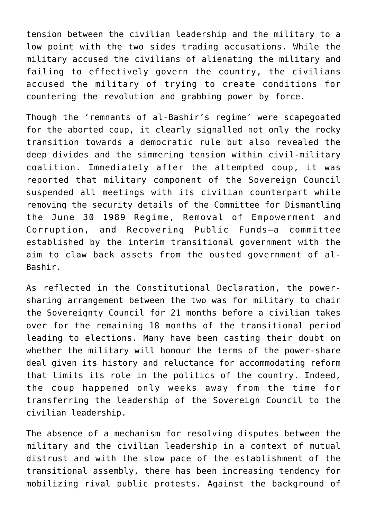tension between the civilian leadership and the military to a low point with the two sides trading accusations. While the military accused the civilians of alienating the military and failing to effectively govern the country, the civilians accused the military of trying to create conditions for countering the revolution and grabbing power by force.

Though the 'remnants of al-Bashir's regime' were scapegoated for the aborted coup, it clearly signalled not only the rocky transition towards a democratic rule but also revealed the deep divides and the simmering tension within civil-military coalition. Immediately after the attempted coup, it was reported that military component of the Sovereign Council suspended all meetings with its civilian counterpart while removing the security details of the Committee for Dismantling the June 30 1989 Regime, Removal of Empowerment and Corruption, and Recovering Public Funds—a committee established by the interim transitional government with the aim to claw back assets from the ousted government of al-Bashir.

As reflected in the Constitutional Declaration, the powersharing arrangement between the two was for military to chair the Sovereignty Council for 21 months before a civilian takes over for the remaining 18 months of the transitional period leading to elections. Many have been casting their doubt on whether the military will honour the terms of the power-share deal given its history and reluctance for accommodating reform that limits its role in the politics of the country. Indeed, the coup happened only weeks away from the time for transferring the leadership of the Sovereign Council to the civilian leadership.

The absence of a mechanism for resolving disputes between the military and the civilian leadership in a context of mutual distrust and with the slow pace of the establishment of the transitional assembly, there has been increasing tendency for mobilizing rival public protests. Against the background of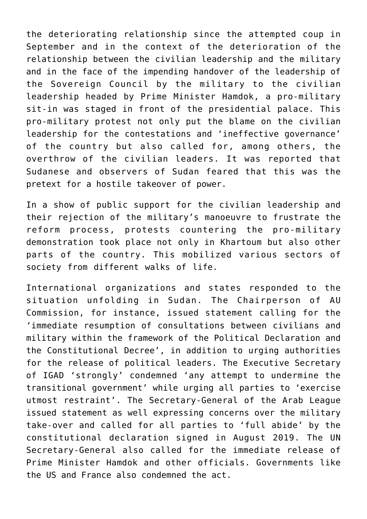the deteriorating relationship since the attempted coup in September and in the context of the deterioration of the relationship between the civilian leadership and the military and in the face of the impending handover of the leadership of the Sovereign Council by the military to the civilian leadership headed by Prime Minister Hamdok, a pro-military sit-in was staged in front of the presidential palace. This pro-military protest not only put the blame on the civilian leadership for the contestations and 'ineffective governance' of the country but also called for, among others, the overthrow of the civilian leaders. It was reported that Sudanese and observers of Sudan feared that this was the pretext for a hostile takeover of power.

In a show of public support for the civilian leadership and their rejection of the military's manoeuvre to frustrate the reform process, protests countering the pro-military demonstration took place not only in Khartoum but also other parts of the country. This mobilized various sectors of society from different walks of life.

International organizations and states responded to the situation unfolding in Sudan. The Chairperson of AU Commission, for instance, issued statement calling for the 'immediate resumption of consultations between civilians and military within the framework of the Political Declaration and the Constitutional Decree', in addition to urging authorities for the release of political leaders. The Executive Secretary of IGAD 'strongly' condemned 'any attempt to undermine the transitional government' while urging all parties to 'exercise utmost restraint'. The Secretary-General of the Arab League issued statement as well expressing concerns over the military take-over and called for all parties to 'full abide' by the constitutional declaration signed in August 2019. The UN Secretary-General also called for the immediate release of Prime Minister Hamdok and other officials. Governments like the US and France also condemned the act.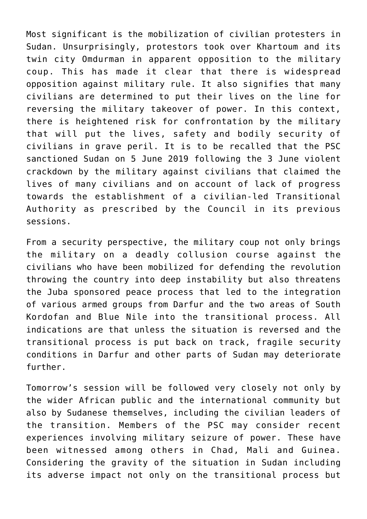Most significant is the mobilization of civilian protesters in Sudan. Unsurprisingly, protestors took over Khartoum and its twin city Omdurman in apparent opposition to the military coup. This has made it clear that there is widespread opposition against military rule. It also signifies that many civilians are determined to put their lives on the line for reversing the military takeover of power. In this context, there is heightened risk for confrontation by the military that will put the lives, safety and bodily security of civilians in grave peril. It is to be recalled that the PSC sanctioned Sudan on 5 June 2019 following the 3 June violent crackdown by the military against civilians that claimed the lives of many civilians and on account of lack of progress towards the establishment of a civilian-led Transitional Authority as prescribed by the Council in its previous sessions.

From a security perspective, the military coup not only brings the military on a deadly collusion course against the civilians who have been mobilized for defending the revolution throwing the country into deep instability but also threatens the Juba sponsored peace process that led to the integration of various armed groups from Darfur and the two areas of South Kordofan and Blue Nile into the transitional process. All indications are that unless the situation is reversed and the transitional process is put back on track, fragile security conditions in Darfur and other parts of Sudan may deteriorate further.

Tomorrow's session will be followed very closely not only by the wider African public and the international community but also by Sudanese themselves, including the civilian leaders of the transition. Members of the PSC may consider recent experiences involving military seizure of power. These have been witnessed among others in Chad, Mali and Guinea. Considering the gravity of the situation in Sudan including its adverse impact not only on the transitional process but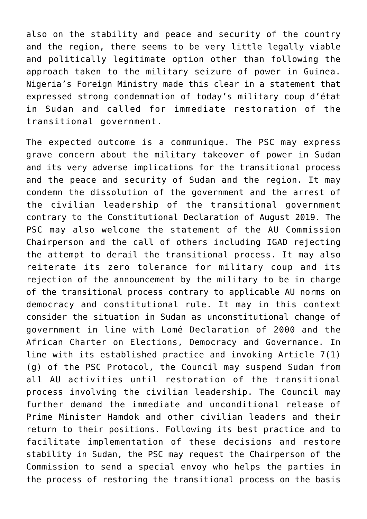also on the stability and peace and security of the country and the region, there seems to be very little legally viable and politically legitimate option other than following the approach taken to the military seizure of power in Guinea. Nigeria's Foreign Ministry made this clear in a statement that expressed strong condemnation of today's military coup d'état in Sudan and called for immediate restoration of the transitional government.

The expected outcome is a communique. The PSC may express grave concern about the military takeover of power in Sudan and its very adverse implications for the transitional process and the peace and security of Sudan and the region. It may condemn the dissolution of the government and the arrest of the civilian leadership of the transitional government contrary to the Constitutional Declaration of August 2019. The PSC may also welcome the statement of the AU Commission Chairperson and the call of others including IGAD rejecting the attempt to derail the transitional process. It may also reiterate its zero tolerance for military coup and its rejection of the announcement by the military to be in charge of the transitional process contrary to applicable AU norms on democracy and constitutional rule. It may in this context consider the situation in Sudan as unconstitutional change of government in line with Lomé Declaration of 2000 and the African Charter on Elections, Democracy and Governance. In line with its established practice and invoking Article 7(1) (g) of the PSC Protocol, the Council may suspend Sudan from all AU activities until restoration of the transitional process involving the civilian leadership. The Council may further demand the immediate and unconditional release of Prime Minister Hamdok and other civilian leaders and their return to their positions. Following its best practice and to facilitate implementation of these decisions and restore stability in Sudan, the PSC may request the Chairperson of the Commission to send a special envoy who helps the parties in the process of restoring the transitional process on the basis